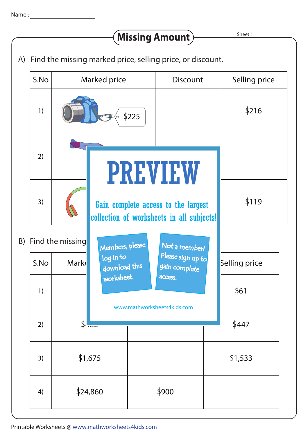## **Missing Amount**

Sheet 1

A) Find the missing marked price, selling price, or discount.

|  | S.No |                     | Marked price               | <b>Discount</b>                        |                                                                                  |       | Selling price |  |
|--|------|---------------------|----------------------------|----------------------------------------|----------------------------------------------------------------------------------|-------|---------------|--|
|  | 1)   |                     |                            | \$225                                  |                                                                                  |       | \$216         |  |
|  | 2)   |                     | <b>PREVIEW</b>             |                                        |                                                                                  |       |               |  |
|  | 3)   |                     |                            |                                        | Gain complete access to the largest<br>collection of worksheets in all subjects! |       | \$119         |  |
|  |      | B) Find the missing | Members, please            |                                        | Not a member?                                                                    |       |               |  |
|  | S.No | <b>Mark</b>         | log in to<br>download this |                                        | Please sign up to<br>gain complete                                               |       | Selling price |  |
|  | 1)   |                     | worksheet.                 | access.<br>www.mathworksheets4kids.com |                                                                                  |       | \$61          |  |
|  | 2)   |                     | $\int_{\tau_{\rm UZ}}$     |                                        |                                                                                  | \$447 |               |  |
|  | 3)   |                     | \$1,675                    |                                        |                                                                                  |       | \$1,533       |  |
|  | 4)   | \$24,860            |                            | \$900                                  |                                                                                  |       |               |  |